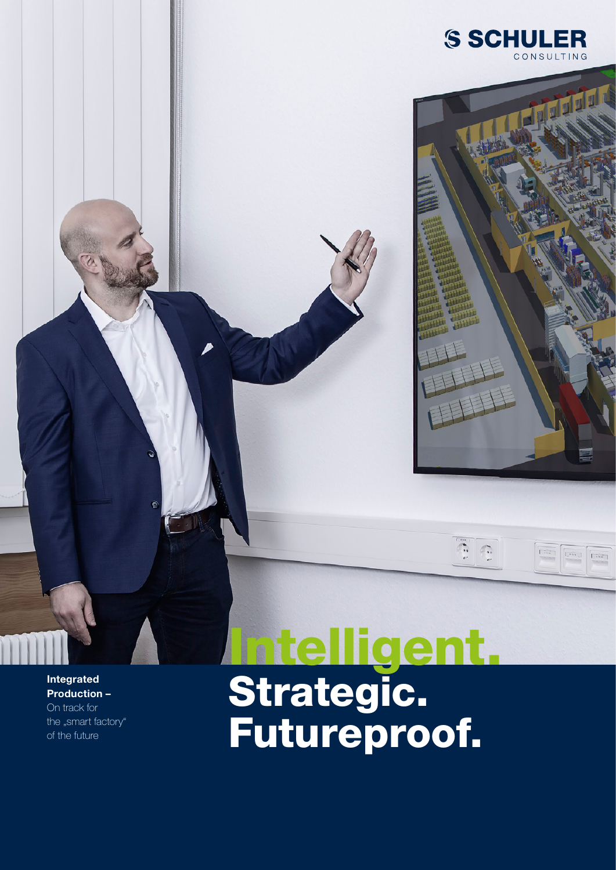



 $\ddot{\cdot}$ 

Г.,

 $\lceil$ ini j

 $\overline{\mathbb{L}^{*m}}$  .

 $\overline{\left\lceil \cdots \right\rceil}$ 

Integrated Production – On track for the "smart factory" of the future

## Intelligent. Strategic. Futureproof.